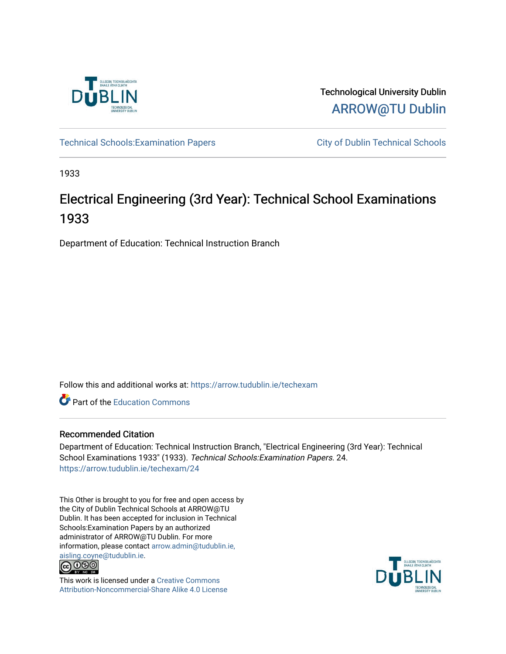

Technological University Dublin [ARROW@TU Dublin](https://arrow.tudublin.ie/) 

Technical Schools: Examination Papers City of Dublin Technical Schools

1933

## Electrical Engineering (3rd Year): Technical School Examinations 1933

Department of Education: Technical Instruction Branch

Follow this and additional works at: [https://arrow.tudublin.ie/techexam](https://arrow.tudublin.ie/techexam?utm_source=arrow.tudublin.ie%2Ftechexam%2F24&utm_medium=PDF&utm_campaign=PDFCoverPages) 

Part of the [Education Commons](http://network.bepress.com/hgg/discipline/784?utm_source=arrow.tudublin.ie%2Ftechexam%2F24&utm_medium=PDF&utm_campaign=PDFCoverPages)

## Recommended Citation

Department of Education: Technical Instruction Branch, "Electrical Engineering (3rd Year): Technical School Examinations 1933" (1933). Technical Schools:Examination Papers. 24. [https://arrow.tudublin.ie/techexam/24](https://arrow.tudublin.ie/techexam/24?utm_source=arrow.tudublin.ie%2Ftechexam%2F24&utm_medium=PDF&utm_campaign=PDFCoverPages)

This Other is brought to you for free and open access by the City of Dublin Technical Schools at ARROW@TU Dublin. It has been accepted for inclusion in Technical Schools:Examination Papers by an authorized administrator of ARROW@TU Dublin. For more information, please contact [arrow.admin@tudublin.ie,](mailto:arrow.admin@tudublin.ie,%20aisling.coyne@tudublin.ie)  [aisling.coyne@tudublin.ie.](mailto:arrow.admin@tudublin.ie,%20aisling.coyne@tudublin.ie)<br>© 090



This work is licensed under a [Creative Commons](http://creativecommons.org/licenses/by-nc-sa/4.0/) [Attribution-Noncommercial-Share Alike 4.0 License](http://creativecommons.org/licenses/by-nc-sa/4.0/)

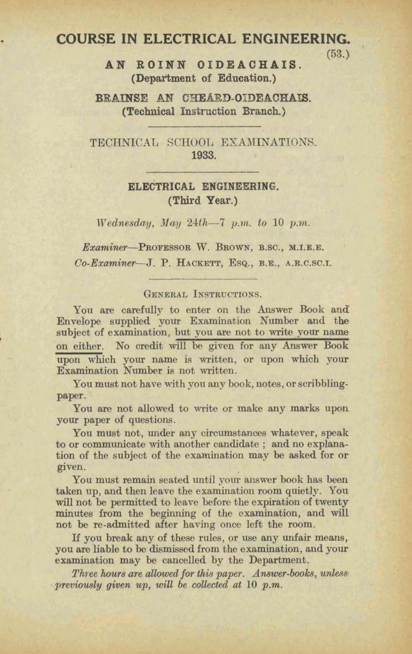# **COURSE IN ELECTRICAL ENGINEERING.** (53.)

**(58.1 AN ROINN OIDEACHAIS.**  (Department of Education.)

**BRAINSE AN CHEARD-OIDEACHAIS. (Technical Instruction Branch.)** 

TECHNICAL SCHOOL EXAMINATIONS. **1933.** 

### **ELECTRICAL ENGINEERING. (Third Year.)**

Wednesday, May  $24th - 7$  p.m. to 10 p.m.

Examiner-PROFESSOR W. BROWN, B.SC., M.I.E.E. Co-Examiner-J. P. HACKETT, ESQ., B.E., A.R.C.SC.I.

#### GENERAL INSTRUCTIONS.

You are carefully to enter on the Answer Book and Envelope supplied your Examination Number and the subject of examination, but you are not to write your name on either. No credit will be given for any Answer Book **upon** which your name is written, or upon which your Examination Number is not written.

You must not have with you any book, notes, or scribblingpaper.

You are not allowed to write or make any marks upon your paper of questions.

You must not, under any circumstances whatever, speak to or communicate with another candidate; and no explanation of the subject of the examination may be asked for or **given.** 

You must remain seated until your answer book has been taken up, and then leave the examination room quietly. You will not be permitted to leave before the expiration of twenty minutes from the beginning of the examination, and will not be re-admitted after having once left the room.

If you break any of these rules, or use any unfair means, **you are** liable to **be** dismissed from the examhation, and your examination may be cancelled by the Department.

Three hours are allowed for this paper. Answer-books, unless*previously given up, will be collected at 10 p.m.*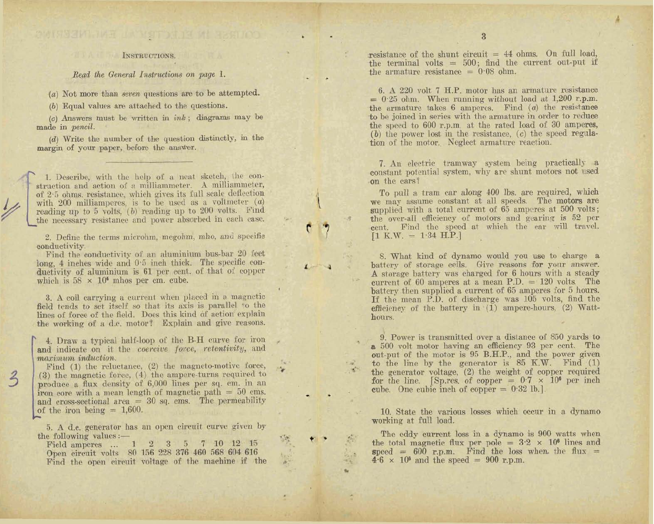#### INSTRUCTIONS.

Read the General Instructions on page 1.

(a) Not more than seven questions are to be attempted.

 $(b)$  Equal values are attached to the questions.

 $(c)$  Answers must be written in *ink*; diagrams may be made in pencil.

(d) Write the number of the question distinctly, in the margin of your paper, before the answer.

1. Describe, with the help of a neat sketch, the construction and action of a milliammeter. A milliammeter, of 2.5 ohms, resistance, which gives its full scale deflection with 200 milliamperes, is to be used as a voltmeter  $(a)$ reading up to  $5$  volts,  $(b)$  reading up to  $200$  volts. Find the necessary resistance and power absorbed in each case.

2. Define the terms microhm, megohm, mho, and specific conductivity.

Find the conductivity of an aluminium bus-bar 20 feet long, 4 inches wide and 0.5 inch thick. The specific conductivity of aluminium is 61 per cent. of that of copper which is  $58 \times 10^4$  mhos per cm. cube.

3. A coil carrying a current when placed in a magnetic field tends to set itself so that its axis is parallel to the lines of force of the field. Does this kind of action explain the working of a d.c. motor? Explain and give reasons.

4. Draw a typical half-loop of the B-H curve for iron and indicate on it the coercive force, retentivity, and maximum induction.

Find  $(1)$  the reluctance,  $(2)$  the magneto-motive force, (3) the magnetic force, (4) the ampere-turns required to produce a flux density of 6,000 lines per sq. cm. in an iron core with a mean length of magnetic path  $= 50$  cms. and cross-sectional area  $= 30$  sq. cms. The permeability of the iron being  $= 1,600$ .

 $\frac{2}{2}$ 

5. A d.c. generator has an open circuit curve given by the following values :-

Field amperes ... 1 2 3 5 7 10 12 15 Open circuit volts 80 156 228 376 460 568 604 616 Find the open circuit voltage of the machine if the resistance of the shunt circuit  $= 44$  ohms. On full load, the terminal volts  $= 500$ ; find the current out-put if the armature resistance =  $0.08$  ohm.

6. A 220 volt 7 H.P. motor has an armature resistance  $= 0.25$  ohm. When running without load at 1,200 r.p.m. the armature takes  $6$  amperes. Find  $(a)$  the resistance to be joined in series with the armature in order to reduce the speed to 600 r.p.m. at the rated load of 30 amperes,  $(b)$  the power lost in the resistance,  $(c)$  the speed regulation of the motor. Neglect armature reaction.

7. An electric tramway system being practically a constant potential system, why are shunt motors not used on the cars?

To pull a tram car along 400 lbs. are required, which we may assume constant at all speeds. The motors are supplied with a total current of 65 amperes at 500 volts; the over-all efficiency of motors and gearing is 52 per cent. Find the speed at which the car will travel.  $[1 K.W. = 1.34 H.P.]$ 

8. What kind of dynamo would you use to charge a battery of storage cells. Give reasons for your answer. A storage battery was charged for 6 hours with a steady current of 60 amperes at a mean P.D.  $= 120$  volts. The battery then supplied a current of 65 amperes for 5 hours. If the mean P.D. of discharge was 105 volts, find the efficiency of the battery in (1) ampere-hours. (2) Watthours.

9. Power is transmitted over a distance of 850 yards to a 500 volt motor having an efficiency 93 per cent. The out-put of the motor is 95 B.H.P., and the power given to the line by the generator is 85 K.W. Find (1) the generator voltage, (2) the weight of copper required for the line. [Sp.res. of copper =  $0.7 \times 10^6$  per inch cube. One cubic inch of copper  $= 0.32$  lb.]

10. State the various losses which occur in a dynamo working at full load.

The eddy current loss in a dynamo is 900 watts when the total magnetic flux per pole =  $3.2 \times 10^8$  lines and speed =  $600$  r.p.m. Find the loss when the flux =  $4.6 \times 10^6$  and the speed = 900 r.p.m.